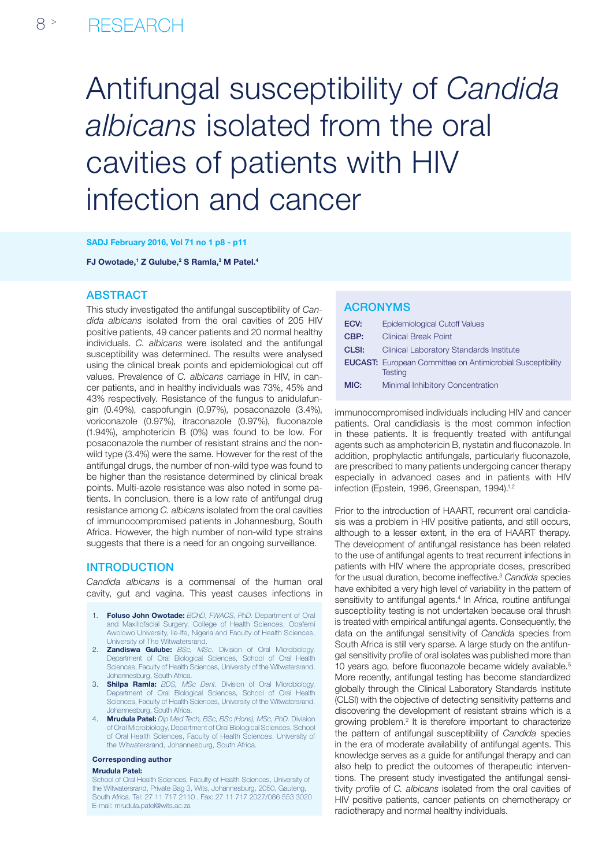# Antifungal susceptibility of *Candida albicans* isolated from the oral cavities of patients with HIV infection and cancer

SADJ February 2016, Vol 71 no 1 p8 - p11

FJ Owotade,<sup>1</sup> Z Gulube,<sup>2</sup> S Ramla,<sup>3</sup> M Patel.<sup>4</sup>

# **ABSTRACT**

This study investigated the antifungal susceptibility of *Candida albicans* isolated from the oral cavities of 205 HIV positive patients, 49 cancer patients and 20 normal healthy individuals. *C. albicans* were isolated and the antifungal susceptibility was determined. The results were analysed using the clinical break points and epidemiological cut off values. Prevalence of *C. albicans* carriage in HIV, in cancer patients, and in healthy individuals was 73%, 45% and 43% respectively. Resistance of the fungus to anidulafungin (0.49%), caspofungin (0.97%), posaconazole (3.4%), voriconazole (0.97%), itraconazole (0.97%), fluconazole (1.94%), amphotericin B (0%) was found to be low. For posaconazole the number of resistant strains and the nonwild type (3.4%) were the same. However for the rest of the antifungal drugs, the number of non-wild type was found to be higher than the resistance determined by clinical break points. Multi-azole resistance was also noted in some patients. In conclusion, there is a low rate of antifungal drug resistance among *C. albicans* isolated from the oral cavities of immunocompromised patients in Johannesburg, South Africa. However, the high number of non-wild type strains suggests that there is a need for an ongoing surveillance.

## **INTRODUCTION**

*Candida albicans* is a commensal of the human oral cavity, gut and vagina. This yeast causes infections in

- 1. Foluso John Owotade: *BChD, FWACS, PhD.* Department of Oral and Maxillofacial Surgery, College of Health Sciences, Obafemi Awolowo University, Ile-Ife, Nigeria and Faculty of Health Sciences, University of The Witwatersrand.
- 2. Zandiswa Gulube: *BSc, MSc.* Division of Oral Microbiology, Department of Oral Biological Sciences, School of Oral Health Sciences, Faculty of Health Sciences, University of the Witwatersrand, Johannesburg, South Africa.
- 3. Shilpa Ramla: *BDS, MSc Dent.* Division of Oral Microbiology, Department of Oral Biological Sciences, School of Oral Health Sciences, Faculty of Health Sciences, University of the Witwatersrand, Johannesburg, South Africa.
- 4. Mrudula Patel: *Dip Med Tech, BSc, BSc (Hons), MSc, PhD.* Division of Oral Microbiology, Department of Oral Biological Sciences, School of Oral Health Sciences, Faculty of Health Sciences, University of the Witwatersrand, Johannesburg, South Africa.

#### Corresponding author

#### Mrudula Patel:

School of Oral Health Sciences, Faculty of Health Sciences, University of the Witwatersrand, Private Bag 3, Wits, Johannesburg, 2050, Gauteng, South Africa. Tel: 27 11 717 2110 , Fax: 27 11 717 2027/086 553 3020 E-mail: mrudula.patel@wits.ac.za

## ACRONYMs

| ECV:  | <b>Epidemiological Cutoff Values</b>                                                |
|-------|-------------------------------------------------------------------------------------|
| CBP:  | <b>Clinical Break Point</b>                                                         |
| CLSI: | Clinical Laboratory Standards Institute                                             |
|       | <b>EUCAST:</b> European Committee on Antimicrobial Susceptibility<br><b>Testing</b> |
| MIC:  | Minimal Inhibitory Concentration                                                    |

immunocompromised individuals including HIV and cancer patients. Oral candidiasis is the most common infection in these patients. It is frequently treated with antifungal agents such as amphotericin B, nystatin and fluconazole. In addition, prophylactic antifungals, particularly fluconazole, are prescribed to many patients undergoing cancer therapy especially in advanced cases and in patients with HIV infection (Epstein, 1996, Greenspan, 1994).<sup>1,2</sup>

Prior to the introduction of HAART, recurrent oral candidiasis was a problem in HIV positive patients, and still occurs, although to a lesser extent, in the era of HAART therapy. The development of antifungal resistance has been related to the use of antifungal agents to treat recurrent infections in patients with HIV where the appropriate doses, prescribed for the usual duration, become ineffective.3 *Candida* species have exhibited a very high level of variability in the pattern of sensitivity to antifungal agents.<sup>4</sup> In Africa, routine antifungal susceptibility testing is not undertaken because oral thrush is treated with empirical antifungal agents. Consequently, the data on the antifungal sensitivity of *Candida* species from South Africa is still very sparse. A large study on the antifungal sensitivity profile of oral isolates was published more than 10 years ago, before fluconazole became widely available.<sup>5</sup> More recently, antifungal testing has become standardized globally through the Clinical Laboratory Standards Institute (CLSI) with the objective of detecting sensitivity patterns and discovering the development of resistant strains which is a growing problem.<sup>2</sup> It is therefore important to characterize the pattern of antifungal susceptibility of *Candida* species in the era of moderate availability of antifungal agents. This knowledge serves as a guide for antifungal therapy and can also help to predict the outcomes of therapeutic interventions. The present study investigated the antifungal sensitivity profile of *C. albicans* isolated from the oral cavities of HIV positive patients, cancer patients on chemotherapy or radiotherapy and normal healthy individuals.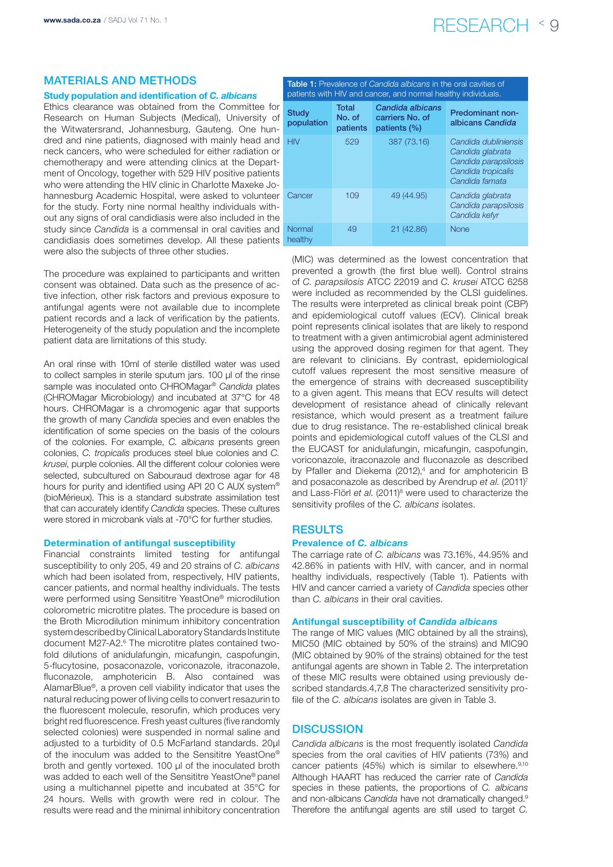# www.sada.co.za / SADJ Vol 71 No. 1  $\mathsf{RESEARCH}$   $\leq 9$

# Materials and methods

#### Study population and identification of *C. albicans*

Ethics clearance was obtained from the Committee for Research on Human Subjects (Medical), University of the Witwatersrand, Johannesburg, Gauteng. One hundred and nine patients, diagnosed with mainly head and neck cancers, who were scheduled for either radiation or chemotherapy and were attending clinics at the Department of Oncology, together with 529 HIV positive patients who were attending the HIV clinic in Charlotte Maxeke Johannesburg Academic Hospital, were asked to volunteer for the study. Forty nine normal healthy individuals without any signs of oral candidiasis were also included in the study since *Candida* is a commensal in oral cavities and candidiasis does sometimes develop. All these patients were also the subjects of three other studies.

The procedure was explained to participants and written consent was obtained. Data such as the presence of active infection, other risk factors and previous exposure to antifungal agents were not available due to incomplete patient records and a lack of verification by the patients. Heterogeneity of the study population and the incomplete patient data are limitations of this study.

An oral rinse with 10ml of sterile distilled water was used to collect samples in sterile sputum jars. 100 μl of the rinse sample was inoculated onto CHROMagar® *Candida* plates (CHROMagar Microbiology) and incubated at 37°C for 48 hours. CHROMagar is a chromogenic agar that supports the growth of many *Candida* species and even enables the identification of some species on the basis of the colours of the colonies. For example, *C. albicans* presents green colonies, *C. tropicalis* produces steel blue colonies and *C. krusei*, purple colonies. All the different colour colonies were selected, subcultured on Sabouraud dextrose agar for 48 hours for purity and identified using API 20 C AUX system® (bioMérieux). This is a standard substrate assimilation test that can accurately identify *Candida* species. These cultures were stored in microbank vials at -70°C for further studies.

#### Determination of antifungal susceptibility

Financial constraints limited testing for antifungal susceptibility to only 205, 49 and 20 strains of *C. albicans* which had been isolated from, respectively, HIV patients, cancer patients, and normal healthy individuals. The tests were performed using Sensititre YeastOne® microdilution colorometric microtitre plates. The procedure is based on the Broth Microdilution minimum inhibitory concentration system described by Clinical Laboratory Standards Institute document M27-A2.6 The microtitre plates contained twofold dilutions of anidulafungin, micafungin, caspofungin, 5-flucytosine, posaconazole, voriconazole, itraconazole, fluconazole, amphotericin B. Also contained was AlamarBlue®, a proven cell viability indicator that uses the natural reducing power of living cells to convert resazurin to the fluorescent molecule, resorufin, which produces very bright red fluorescence. Fresh yeast cultures (five randomly selected colonies) were suspended in normal saline and adjusted to a turbidity of 0.5 McFarland standards, 20μl of the inoculum was added to the Sensititre YeastOne® broth and gently vortexed. 100 μl of the inoculated broth was added to each well of the Sensititre YeastOne® panel using a multichannel pipette and incubated at 35°C for 24 hours. Wells with growth were red in colour. The results were read and the minimal inhibitory concentration

| patients with HIV and cancer, and normal healthy individuals. |                                    |                                                        |                                                                                                          |  |  |  |  |
|---------------------------------------------------------------|------------------------------------|--------------------------------------------------------|----------------------------------------------------------------------------------------------------------|--|--|--|--|
| <b>Study</b><br>population                                    | <b>Total</b><br>No. of<br>patients | Candida albicans<br>carriers No. of<br>patients $(\%)$ | <b>Predominant non-</b><br>albicans Candida                                                              |  |  |  |  |
| <b>HIV</b>                                                    | 529                                | 387 (73.16)                                            | Candida dubliniensis<br>Candida glabrata<br>Candida parapsilosis<br>Candida tropicalis<br>Candida famata |  |  |  |  |
| Cancer                                                        | 109                                | 49 (44.95)                                             | Candida glabrata<br>Candida parapsilosis<br>Candida kefvr                                                |  |  |  |  |
| Normal<br>healthy                                             | 49                                 | 21 (42.86)                                             | <b>None</b>                                                                                              |  |  |  |  |

Table 1: Prevalence of *Candida albicans* in the oral cavities of

(MIC) was determined as the lowest concentration that prevented a growth (the first blue well). Control strains of *C. parapsilosis* ATCC 22019 and *C. krusei* ATCC 6258 were included as recommended by the CLSI guidelines. The results were interpreted as clinical break point (CBP) and epidemiological cutoff values (ECV). Clinical break point represents clinical isolates that are likely to respond to treatment with a given antimicrobial agent administered using the approved dosing regimen for that agent. They are relevant to clinicians. By contrast, epidemiological cutoff values represent the most sensitive measure of the emergence of strains with decreased susceptibility to a given agent. This means that ECV results will detect development of resistance ahead of clinically relevant resistance, which would present as a treatment failure due to drug resistance. The re-established clinical break points and epidemiological cutoff values of the CLSI and the EUCAST for anidulafungin, micafungin, caspofungin, voriconazole, itraconazole and fluconazole as described by Pfaller and Diekema (2012),<sup>4</sup> and for amphotericin B and posaconazole as described by Arendrup *et al*. (2011)7 and Lass-Flörl et al. (2011)<sup>8</sup> were used to characterize the sensitivity profiles of the *C. albicans* isolates.

#### **RESULTS**

#### Prevalence of *C. albicans*

The carriage rate of *C. albicans* was 73.16%, 44.95% and 42.86% in patients with HIV, with cancer, and in normal healthy individuals, respectively (Table 1). Patients with HIV and cancer carried a variety of *Candida* species other than *C. albicans* in their oral cavities.

#### Antifungal susceptibility of *Candida albicans*

The range of MIC values (MIC obtained by all the strains), MIC50 (MIC obtained by 50% of the strains) and MIC90 (MIC obtained by 90% of the strains) obtained for the test antifungal agents are shown in Table 2. The interpretation of these MIC results were obtained using previously described standards.4,7,8 The characterized sensitivity profile of the *C. albicans* isolates are given in Table 3.

# **DISCUSSION**

*Candida albicans* is the most frequently isolated *Candida* species from the oral cavities of HIV patients (73%) and cancer patients (45%) which is similar to elsewhere.<sup>9,10</sup> Although HAART has reduced the carrier rate of *Candida* species in these patients, the proportions of *C. albicans* and non-albicans *Candida* have not dramatically changed.9 Therefore the antifungal agents are still used to target *C.*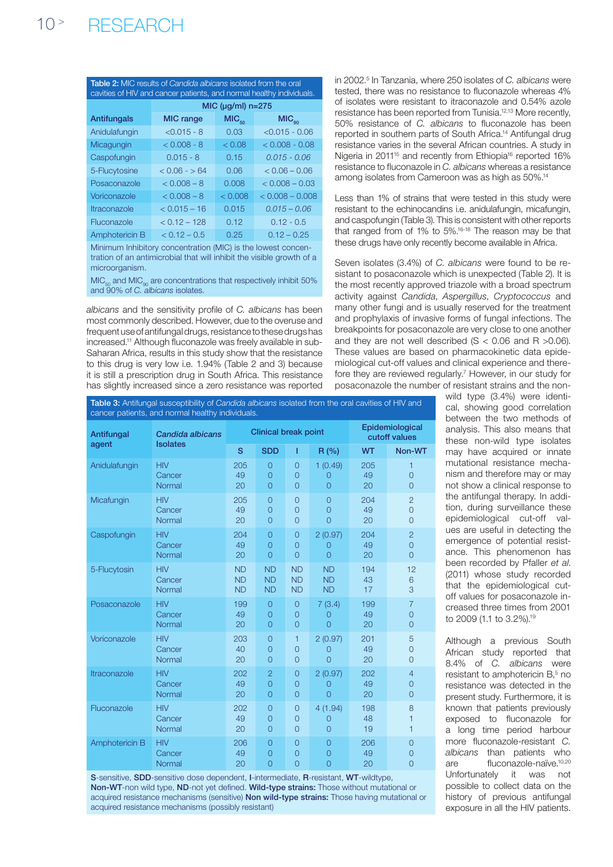| <b>Table 2:</b> MIC results of <i>Candida albicans</i> isolated from the oral<br>cavities of HIV and cancer patients, and normal healthy individuals. |                         |                   |                   |  |  |  |  |  |
|-------------------------------------------------------------------------------------------------------------------------------------------------------|-------------------------|-------------------|-------------------|--|--|--|--|--|
|                                                                                                                                                       | MIC ( $\mu$ g/ml) n=275 |                   |                   |  |  |  |  |  |
| Antifungals                                                                                                                                           | <b>MIC</b> range        | MIC <sub>50</sub> | MIC <sub>90</sub> |  |  |  |  |  |
| Anidulafungin                                                                                                                                         | $< 0.015 - 8$           | 0.03              | $< 0.015 - 0.06$  |  |  |  |  |  |
| Micagungin                                                                                                                                            | $< 0.008 - 8$           | < 0.08            | $< 0.008 - 0.08$  |  |  |  |  |  |
| Caspofungin                                                                                                                                           | $0.015 - 8$             | 0.15              | $0.015 - 0.06$    |  |  |  |  |  |
| 5-Flucytosine                                                                                                                                         | $< 0.06 - 5.64$         | 0.06              | $< 0.06 - 0.06$   |  |  |  |  |  |
| Posaconazole                                                                                                                                          | $< 0.008 - 8$           | 0.008             | $< 0.008 - 0.03$  |  |  |  |  |  |
| Voriconazole                                                                                                                                          | $< 0.008 - 8$           | &0.008            | $< 0.008 - 0.008$ |  |  |  |  |  |
| <i><u><b>Itraconazole</b></u></i>                                                                                                                     | $< 0.015 - 16$          | 0.015             | $0.015 - 0.06$    |  |  |  |  |  |
| Fluconazole                                                                                                                                           | $< 0.12 - 128$          | 0.12              | $0.12 - 0.5$      |  |  |  |  |  |
| Amphotericin B                                                                                                                                        | $< 0.12 - 0.5$          | 0.25              | $0.12 - 0.25$     |  |  |  |  |  |

Minimum Inhibitory concentration (MIC) is the lowest concentration of an antimicrobial that will inhibit the visible growth of a microorganism.

 $MIC_{50}$  and  $MIC_{90}$  are concentrations that respectively inhibit 50% and 90% of *C. albicans* isolates.

*albicans* and the sensitivity profile of *C. albicans* has been most commonly described. However, due to the overuse and frequent use of antifungal drugs, resistance to these drugs has increased.<sup>11</sup> Although fluconazole was freely available in sub-Saharan Africa, results in this study show that the resistance to this drug is very low i.e. 1.94% (Table 2 and 3) because it is still a prescription drug in South Africa. This resistance has slightly increased since a zero resistance was reported

in 2002.5 In Tanzania, where 250 isolates of *C. albicans* were tested, there was no resistance to fluconazole whereas 4% of isolates were resistant to itraconazole and 0.54% azole resistance has been reported from Tunisia.12,13 More recently, 50% resistance of *C. albicans* to fluconazole has been reported in southern parts of South Africa.14 Antifungal drug resistance varies in the several African countries. A study in Nigeria in 2011<sup>15</sup> and recently from Ethiopia<sup>16</sup> reported 16% resistance to fluconazole in *C. albicans* whereas a resistance among isolates from Cameroon was as high as 50%.14

Less than 1% of strains that were tested in this study were resistant to the echinocandins i.e. anidulafungin, micafungin, and caspofungin (Table 3). This is consistent with other reports that ranged from of 1% to 5%.16-18 The reason may be that these drugs have only recently become available in Africa.

Seven isolates (3.4%) of *C. albicans* were found to be resistant to posaconazole which is unexpected (Table 2). It is the most recently approved triazole with a broad spectrum activity against *Candida*, *Aspergillus*, *Cryptococcus* and many other fungi and is usually reserved for the treatment and prophylaxis of invasive forms of fungal infections. The breakpoints for posaconazole are very close to one another and they are not well described  $(S < 0.06$  and R  $>0.06$ ). These values are based on pharmacokinetic data epidemiological cut-off values and clinical experience and therefore they are reviewed regularly.<sup>7</sup> However, in our study for posaconazole the number of resistant strains and the non-

Table 3: Antifungal susceptibility of *Candida albicans* isolated from the oral cavities of HIV and cancer patients, and normal healthy individuals.

| Antifungal<br>agent | Candida albicans<br><b>Isolates</b> | <b>Clinical break point</b> |                |                |                | Epidemiological<br>cutoff values |                |
|---------------------|-------------------------------------|-----------------------------|----------------|----------------|----------------|----------------------------------|----------------|
|                     |                                     | S                           | <b>SDD</b>     | T              | R(%)           | <b>WT</b>                        | Non-WT         |
| Anidulafungin       | <b>HIV</b>                          | 205                         | $\overline{O}$ | $\Omega$       | 1(0.49)        | 205                              | 1              |
|                     | Cancer                              | 49                          | $\Omega$       | $\Omega$       | $\overline{0}$ | 49                               | $\overline{0}$ |
|                     | Normal                              | 20                          | $\overline{O}$ | $\Omega$       | $\Omega$       | 20                               | $\overline{O}$ |
| Micafungin          | <b>HIV</b>                          | 205                         | $\overline{O}$ | $\Omega$       | $\overline{0}$ | 204                              | $\overline{2}$ |
|                     | Cancer                              | 49                          | $\overline{O}$ | $\overline{0}$ | $\Omega$       | 49                               | $\overline{O}$ |
|                     | Normal                              | 20                          | $\overline{0}$ | $\overline{0}$ | $\Omega$       | 20                               | $\overline{0}$ |
| Caspofungin         | <b>HIV</b>                          | 204                         | $\overline{0}$ | $\overline{0}$ | 2(0.97)        | 204                              | $\overline{2}$ |
|                     | Cancer                              | 49                          | $\overline{O}$ | $\overline{O}$ | $\overline{0}$ | 49                               | $\overline{O}$ |
|                     | Normal                              | 20                          | $\overline{O}$ | $\Omega$       | $\overline{O}$ | 20                               | $\overline{O}$ |
| 5-Flucytosin        | <b>HIV</b>                          | <b>ND</b>                   | <b>ND</b>      | <b>ND</b>      | <b>ND</b>      | 194                              | 12             |
|                     | Cancer                              | <b>ND</b>                   | <b>ND</b>      | <b>ND</b>      | <b>ND</b>      | 43                               | 6              |
|                     | Normal                              | <b>ND</b>                   | <b>ND</b>      | <b>ND</b>      | <b>ND</b>      | 17                               | 3              |
| Posaconazole        | <b>HIV</b>                          | 199                         | $\Omega$       | $\overline{0}$ | 7(3.4)         | 199                              | $\overline{7}$ |
|                     | Cancer                              | 49                          | $\overline{0}$ | $\Omega$       | 0              | 49                               | $\overline{0}$ |
|                     | Normal                              | 20                          | $\overline{0}$ | $\overline{0}$ | $\Omega$       | 20                               | $\overline{0}$ |
| Voriconazole        | <b>HIV</b>                          | 203                         | $\overline{0}$ | $\mathbf{1}$   | 2(0.97)        | 201                              | 5              |
|                     | Cancer                              | 40                          | $\overline{O}$ | $\overline{O}$ | $\overline{0}$ | 49                               | $\overline{0}$ |
|                     | Normal                              | 20                          | $\overline{O}$ | $\Omega$       | $\Omega$       | 20                               | $\overline{0}$ |
| Itraconazole        | <b>HIV</b>                          | 202                         | $\overline{2}$ | $\overline{O}$ | 2(0.97)        | 202                              | $\overline{4}$ |
|                     | Cancer                              | 49                          | $\overline{O}$ | $\overline{0}$ | $\overline{0}$ | 49                               | $\overline{O}$ |
|                     | Normal                              | 20                          | $\overline{0}$ | $\overline{O}$ | $\overline{0}$ | 20                               | $\overline{O}$ |
| Fluconazole         | <b>HIV</b>                          | 202                         | $\overline{0}$ | $\overline{0}$ | 4(1.94)        | 198                              | 8              |
|                     | Cancer                              | 49                          | $\overline{0}$ | $\overline{0}$ | $\Omega$       | 48                               | 1              |
|                     | Normal                              | 20                          | $\overline{0}$ | $\Omega$       | $\overline{0}$ | 19                               | 1              |
| Amphotericin B      | <b>HIV</b>                          | 206                         | $\Omega$       | $\overline{O}$ | $\Omega$       | 206                              | $\overline{0}$ |
|                     | Cancer                              | 49                          | $\overline{O}$ | $\Omega$       | $\Omega$       | 49                               | $\overline{0}$ |
|                     | Normal                              | 20                          | $\Omega$       | $\overline{O}$ | $\Omega$       | 20                               | $\overline{O}$ |

S-sensitive, SDD-sensitive dose dependent, I-intermediate, R-resistant, WT-wildtype, Non-WT-non wild type, ND-not yet defined. Wild-type strains: Those without mutational or acquired resistance mechanisms (sensitive) Non wild-type strains: Those having mutational or acquired resistance mechanisms (possibly resistant)

wild type (3.4%) were identical, showing good correlation between the two methods of analysis. This also means that these non-wild type isolates may have acquired or innate mutational resistance mechanism and therefore may or may not show a clinical response to the antifungal therapy. In addition, during surveillance these epidemiological cut-off values are useful in detecting the emergence of potential resistance. This phenomenon has been recorded by Pfaller *et al*. (2011) whose study recorded that the epidemiological cutoff values for posaconazole increased three times from 2001 to 2009 (1.1 to 3.2%).19

Although a previous South African study reported that 8.4% of *C. albicans* were resistant to amphotericin B,<sup>5</sup> no resistance was detected in the present study. Furthermore, it is known that patients previously exposed to fluconazole for a long time period harbour more fluconazole-resistant *C. albicans* than patients who are fluconazole-naïve.10,20 Unfortunately it was not possible to collect data on the history of previous antifungal exposure in all the HIV patients.